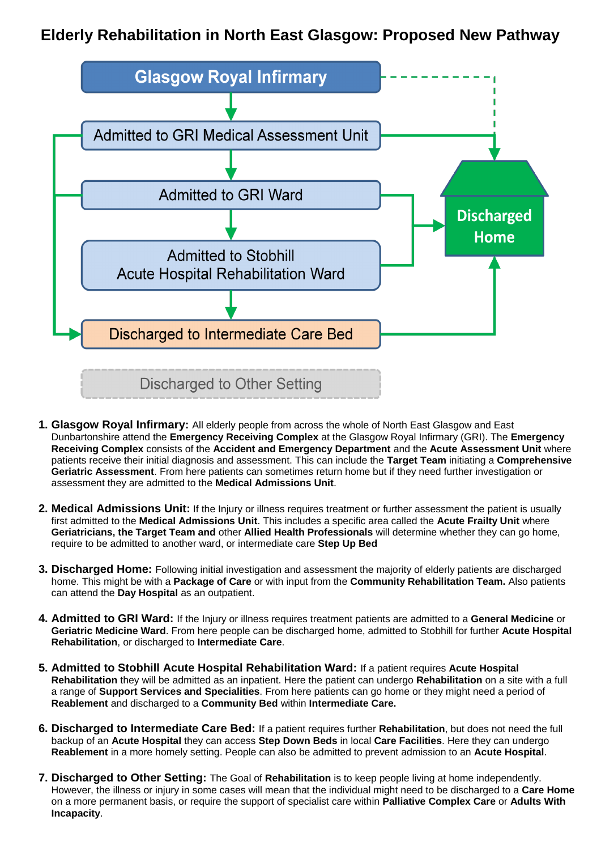## **Elderly Rehabilitation in North East Glasgow: Proposed New Pathway**



- **1. Glasgow Royal Infirmary:** All elderly people from across the whole of North East Glasgow and East Dunbartonshire attend the **Emergency Receiving Complex** at the Glasgow Royal Infirmary (GRI). The **Emergency Receiving Complex** consists of the **Accident and Emergency Department** and the **Acute Assessment Unit** where patients receive their initial diagnosis and assessment. This can include the **Target Team** initiating a **Comprehensive Geriatric Assessment**. From here patients can sometimes return home but if they need further investigation or assessment they are admitted to the **Medical Admissions Unit**.
- **2. Medical Admissions Unit:** If the Injury or illness requires treatment or further assessment the patient is usually first admitted to the **Medical Admissions Unit**. This includes a specific area called the **Acute Frailty Unit** where **Geriatricians, the Target Team and** other **Allied Health Professionals** will determine whether they can go home, require to be admitted to another ward, or intermediate care **Step Up Bed**
- **3. Discharged Home:** Following initial investigation and assessment the majority of elderly patients are discharged home. This might be with a **Package of Care** or with input from the **Community Rehabilitation Team.** Also patients can attend the **Day Hospital** as an outpatient.
- **4. Admitted to GRI Ward:** If the Injury or illness requires treatment patients are admitted to a **General Medicine** or **Geriatric Medicine Ward**. From here people can be discharged home, admitted to Stobhill for further **Acute Hospital**

**Rehabilitation**, or discharged to **Intermediate Care**.

- **5. Admitted to Stobhill Acute Hospital Rehabilitation Ward:** If a patient requires **Acute Hospital Rehabilitation** they will be admitted as an inpatient. Here the patient can undergo **Rehabilitation** on a site with a full a range of **Support Services and Specialities**. From here patients can go home or they might need a period of **Reablement** and discharged to a **Community Bed** within **Intermediate Care.**
- **6. Discharged to Intermediate Care Bed:** If a patient requires further **Rehabilitation**, but does not need the full backup of an **Acute Hospital** they can access **Step Down Beds** in local **Care Facilities**. Here they can undergo **Reablement** in a more homely setting. People can also be admitted to prevent admission to an **Acute Hospital**.
- **7. Discharged to Other Setting:** The Goal of **Rehabilitation** is to keep people living at home independently. However, the illness or injury in some cases will mean that the individual might need to be discharged to a **Care Home** on a more permanent basis, or require the support of specialist care within **Palliative Complex Care** or **Adults With Incapacity**.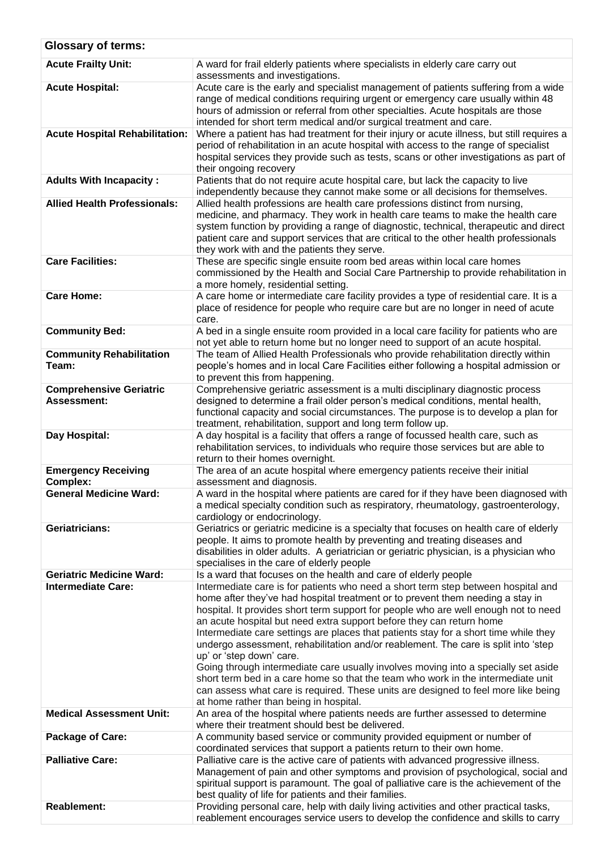| <b>Glossary of terms:</b>                                    |                                                                                                                                                                                                                                                                                                                                                                                                                                                                                                                                                                                                                                                                                                                                                                                                                                                                                                                           |
|--------------------------------------------------------------|---------------------------------------------------------------------------------------------------------------------------------------------------------------------------------------------------------------------------------------------------------------------------------------------------------------------------------------------------------------------------------------------------------------------------------------------------------------------------------------------------------------------------------------------------------------------------------------------------------------------------------------------------------------------------------------------------------------------------------------------------------------------------------------------------------------------------------------------------------------------------------------------------------------------------|
| <b>Acute Frailty Unit:</b>                                   | A ward for frail elderly patients where specialists in elderly care carry out                                                                                                                                                                                                                                                                                                                                                                                                                                                                                                                                                                                                                                                                                                                                                                                                                                             |
| <b>Acute Hospital:</b>                                       | assessments and investigations.<br>Acute care is the early and specialist management of patients suffering from a wide<br>range of medical conditions requiring urgent or emergency care usually within 48<br>hours of admission or referral from other specialties. Acute hospitals are those<br>intended for short term medical and/or surgical treatment and care.                                                                                                                                                                                                                                                                                                                                                                                                                                                                                                                                                     |
| <b>Acute Hospital Rehabilitation:</b>                        | Where a patient has had treatment for their injury or acute illness, but still requires a<br>period of rehabilitation in an acute hospital with access to the range of specialist<br>hospital services they provide such as tests, scans or other investigations as part of<br>their ongoing recovery                                                                                                                                                                                                                                                                                                                                                                                                                                                                                                                                                                                                                     |
| <b>Adults With Incapacity:</b>                               | Patients that do not require acute hospital care, but lack the capacity to live<br>independently because they cannot make some or all decisions for themselves.                                                                                                                                                                                                                                                                                                                                                                                                                                                                                                                                                                                                                                                                                                                                                           |
| <b>Allied Health Professionals:</b>                          | Allied health professions are health care professions distinct from nursing,<br>medicine, and pharmacy. They work in health care teams to make the health care<br>system function by providing a range of diagnostic, technical, therapeutic and direct<br>patient care and support services that are critical to the other health professionals<br>they work with and the patients they serve.                                                                                                                                                                                                                                                                                                                                                                                                                                                                                                                           |
| <b>Care Facilities:</b>                                      | These are specific single ensuite room bed areas within local care homes<br>commissioned by the Health and Social Care Partnership to provide rehabilitation in<br>a more homely, residential setting.                                                                                                                                                                                                                                                                                                                                                                                                                                                                                                                                                                                                                                                                                                                    |
| <b>Care Home:</b>                                            | A care home or intermediate care facility provides a type of residential care. It is a<br>place of residence for people who require care but are no longer in need of acute<br>care.                                                                                                                                                                                                                                                                                                                                                                                                                                                                                                                                                                                                                                                                                                                                      |
| <b>Community Bed:</b>                                        | A bed in a single ensuite room provided in a local care facility for patients who are<br>not yet able to return home but no longer need to support of an acute hospital.                                                                                                                                                                                                                                                                                                                                                                                                                                                                                                                                                                                                                                                                                                                                                  |
| <b>Community Rehabilitation</b><br>Team:                     | The team of Allied Health Professionals who provide rehabilitation directly within<br>people's homes and in local Care Facilities either following a hospital admission or<br>to prevent this from happening.                                                                                                                                                                                                                                                                                                                                                                                                                                                                                                                                                                                                                                                                                                             |
| <b>Comprehensive Geriatric</b><br><b>Assessment:</b>         | Comprehensive geriatric assessment is a multi disciplinary diagnostic process<br>designed to determine a frail older person's medical conditions, mental health,<br>functional capacity and social circumstances. The purpose is to develop a plan for<br>treatment, rehabilitation, support and long term follow up.                                                                                                                                                                                                                                                                                                                                                                                                                                                                                                                                                                                                     |
| Day Hospital:                                                | A day hospital is a facility that offers a range of focussed health care, such as<br>rehabilitation services, to individuals who require those services but are able to<br>return to their homes overnight.                                                                                                                                                                                                                                                                                                                                                                                                                                                                                                                                                                                                                                                                                                               |
| <b>Emergency Receiving</b><br><b>Complex:</b>                | The area of an acute hospital where emergency patients receive their initial<br>assessment and diagnosis.                                                                                                                                                                                                                                                                                                                                                                                                                                                                                                                                                                                                                                                                                                                                                                                                                 |
| <b>General Medicine Ward:</b>                                | A ward in the hospital where patients are cared for if they have been diagnosed with<br>a medical specialty condition such as respiratory, rheumatology, gastroenterology,<br>cardiology or endocrinology.                                                                                                                                                                                                                                                                                                                                                                                                                                                                                                                                                                                                                                                                                                                |
| <b>Geriatricians:</b>                                        | Geriatrics or geriatric medicine is a specialty that focuses on health care of elderly<br>people. It aims to promote health by preventing and treating diseases and<br>disabilities in older adults. A geriatrician or geriatric physician, is a physician who<br>specialises in the care of elderly people                                                                                                                                                                                                                                                                                                                                                                                                                                                                                                                                                                                                               |
| <b>Geriatric Medicine Ward:</b><br><b>Intermediate Care:</b> | Is a ward that focuses on the health and care of elderly people<br>Intermediate care is for patients who need a short term step between hospital and<br>home after they've had hospital treatment or to prevent them needing a stay in<br>hospital. It provides short term support for people who are well enough not to need<br>an acute hospital but need extra support before they can return home<br>Intermediate care settings are places that patients stay for a short time while they<br>undergo assessment, rehabilitation and/or reablement. The care is split into 'step<br>up' or 'step down' care.<br>Going through intermediate care usually involves moving into a specially set aside<br>short term bed in a care home so that the team who work in the intermediate unit<br>can assess what care is required. These units are designed to feel more like being<br>at home rather than being in hospital. |
| <b>Medical Assessment Unit:</b>                              | An area of the hospital where patients needs are further assessed to determine<br>where their treatment should best be delivered.                                                                                                                                                                                                                                                                                                                                                                                                                                                                                                                                                                                                                                                                                                                                                                                         |
| <b>Package of Care:</b>                                      | A community based service or community provided equipment or number of<br>coordinated services that support a patients return to their own home.                                                                                                                                                                                                                                                                                                                                                                                                                                                                                                                                                                                                                                                                                                                                                                          |
| <b>Palliative Care:</b>                                      | Palliative care is the active care of patients with advanced progressive illness.<br>Management of pain and other symptoms and provision of psychological, social and<br>spiritual support is paramount. The goal of palliative care is the achievement of the                                                                                                                                                                                                                                                                                                                                                                                                                                                                                                                                                                                                                                                            |
| <b>Reablement:</b>                                           | best quality of life for patients and their families.<br>Providing personal care, help with daily living activities and other practical tasks,<br>reablement encourages service users to develop the confidence and skills to carry                                                                                                                                                                                                                                                                                                                                                                                                                                                                                                                                                                                                                                                                                       |